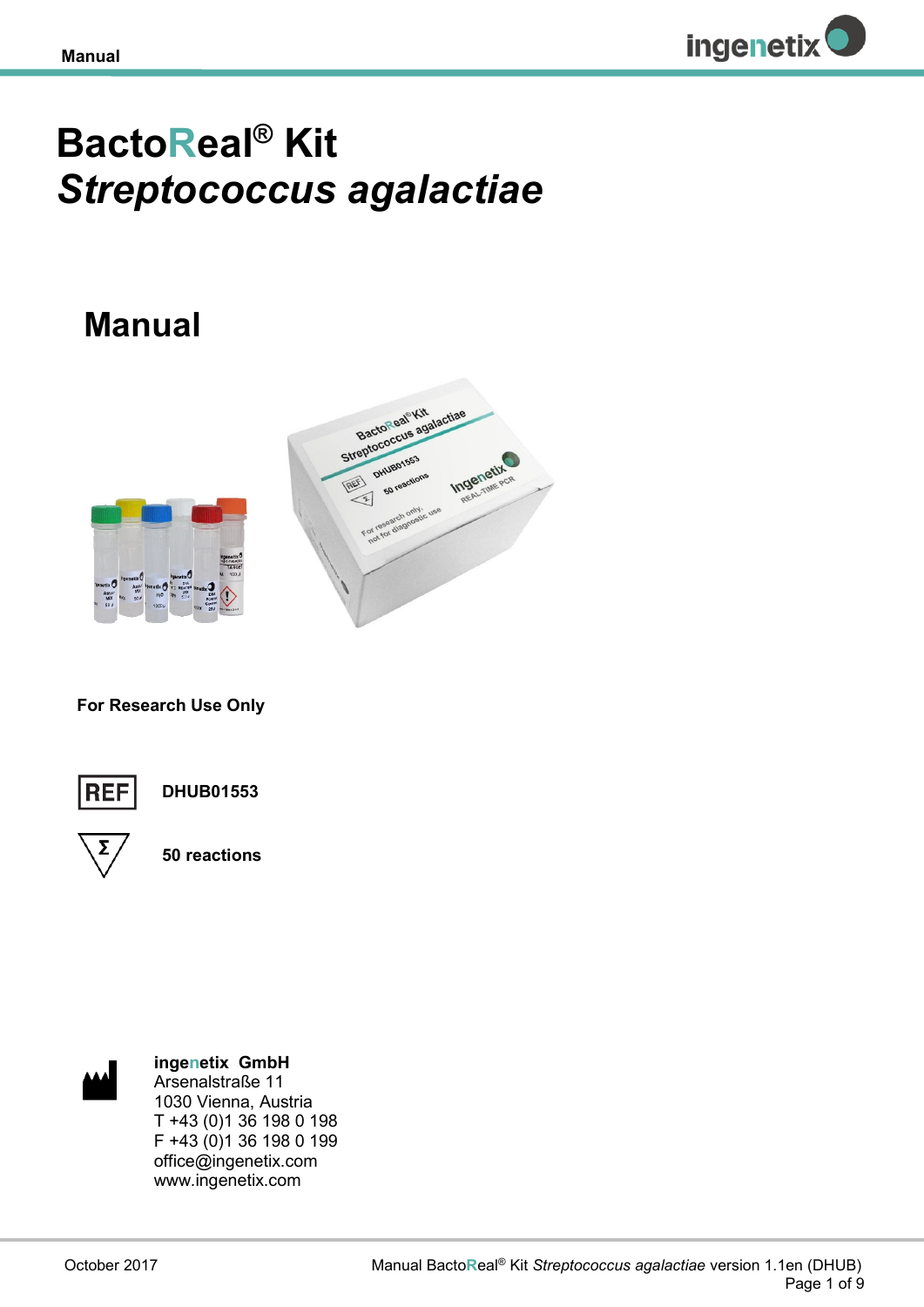

# **BactoReal® Kit**  *Streptococcus agalactiae*

## **Manual**



**For Research Use Only**



**DHUB01553**



**50 reactions**



**ingenetix GmbH** Arsenalstraße 11 1030 Vienna, Austria T +43 (0)1 36 198 0 198 F +43 (0)1 36 198 0 199 office@ingenetix.com www.ingenetix.com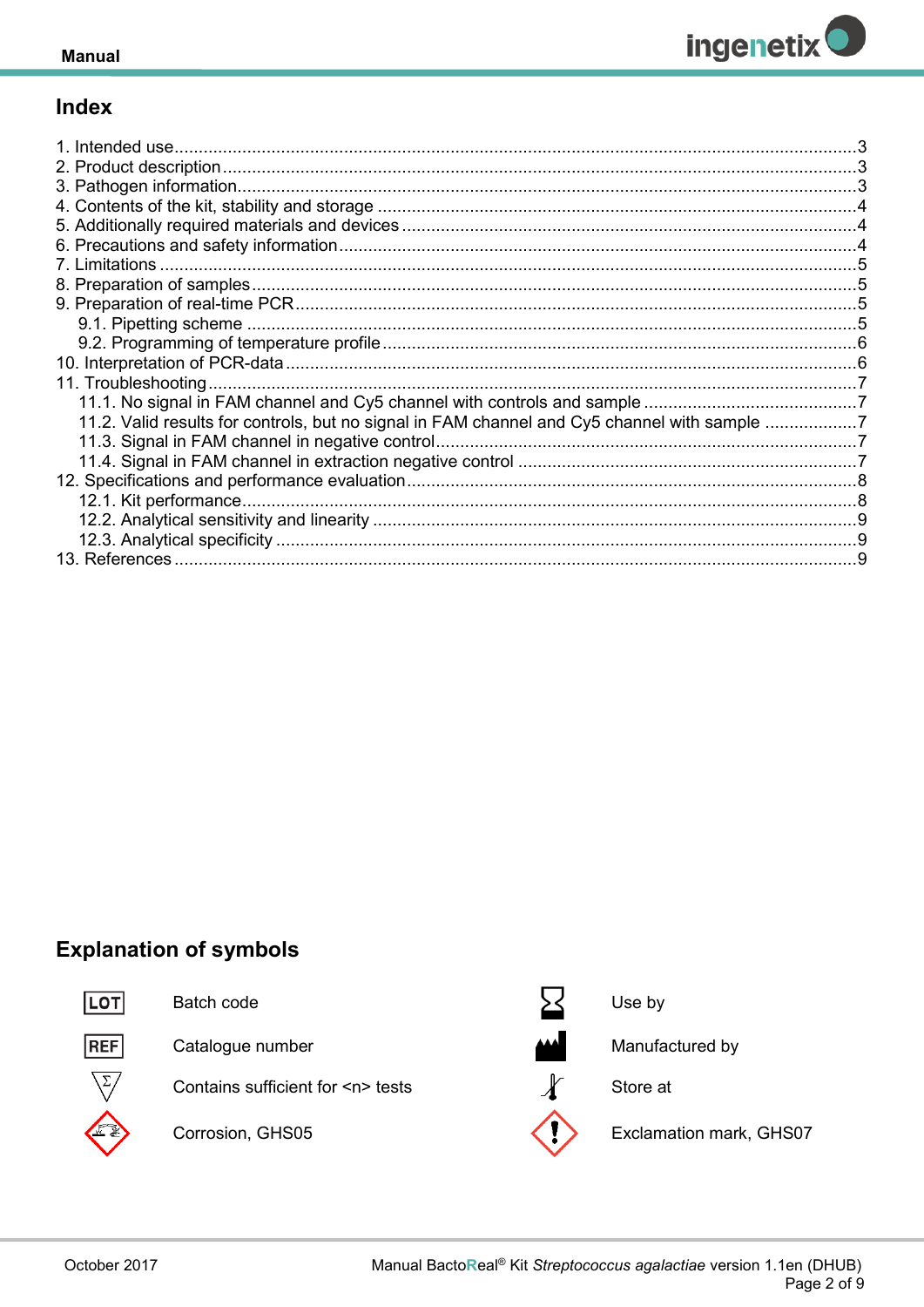

## **Index**

| 11.2. Valid results for controls, but no signal in FAM channel and Cy5 channel with sample 7 |  |
|----------------------------------------------------------------------------------------------|--|
|                                                                                              |  |
|                                                                                              |  |
|                                                                                              |  |
|                                                                                              |  |
|                                                                                              |  |
|                                                                                              |  |
| 13 References                                                                                |  |

## **Explanation of symbols**



Batch code



Catalogue number

Contains sufficient for <n> tests

Corrosion, GHS05



Use by

Manufactured by

Store at

Exclamation mark, GHS07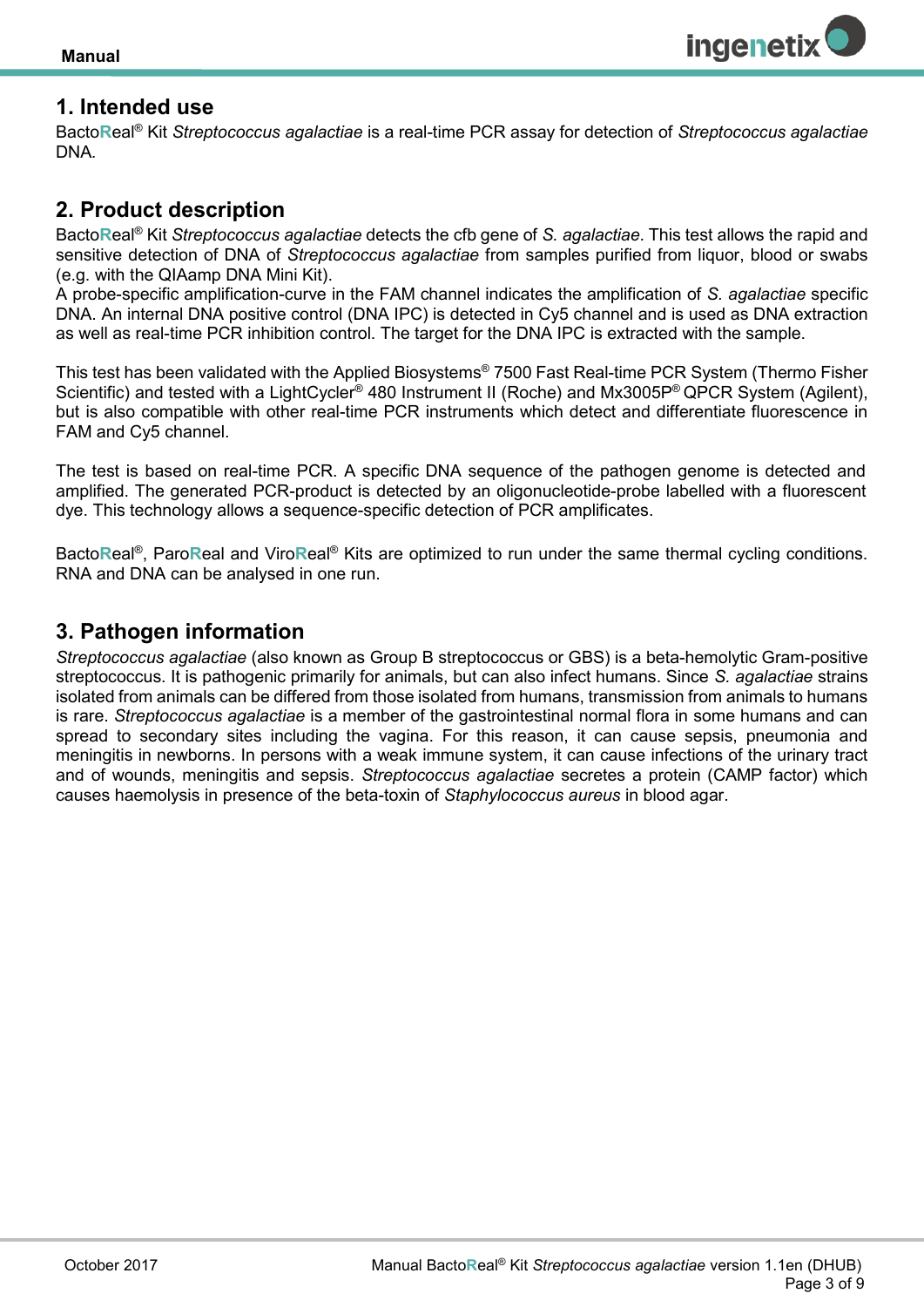

## <span id="page-2-0"></span>**1. Intended use**

Bacto**R**eal® Kit *Streptococcus agalactiae* is a real-time PCR assay for detection of *Streptococcus agalactiae* DNA*.* 

## <span id="page-2-1"></span>**2. Product description**

Bacto**R**eal® Kit *Streptococcus agalactiae* detects the cfb gene of *S. agalactiae*. This test allows the rapid and sensitive detection of DNA of *Streptococcus agalactiae* from samples purified from liquor, blood or swabs (e.g. with the QIAamp DNA Mini Kit).

A probe-specific amplification-curve in the FAM channel indicates the amplification of *S. agalactiae* specific DNA. An internal DNA positive control (DNA IPC) is detected in Cy5 channel and is used as DNA extraction as well as real-time PCR inhibition control. The target for the DNA IPC is extracted with the sample.

This test has been validated with the Applied Biosystems® 7500 Fast Real-time PCR System (Thermo Fisher Scientific) and tested with a LightCycler<sup>®</sup> 480 Instrument II (Roche) and Mx3005P<sup>®</sup> QPCR System (Agilent), but is also compatible with other real-time PCR instruments which detect and differentiate fluorescence in FAM and Cy5 channel.

The test is based on real-time PCR. A specific DNA sequence of the pathogen genome is detected and amplified. The generated PCR-product is detected by an oligonucleotide-probe labelled with a fluorescent dye. This technology allows a sequence-specific detection of PCR amplificates.

Bacto**R**eal® , Paro**R**eal and Viro**R**eal® Kits are optimized to run under the same thermal cycling conditions. RNA and DNA can be analysed in one run.

## <span id="page-2-2"></span>**3. Pathogen information**

*Streptococcus agalactiae* (also known as Group B streptococcus or GBS) is a beta-hemolytic Gram-positive streptococcus. It is pathogenic primarily for animals, but can also infect humans. Since *S. agalactiae* strains isolated from animals can be differed from those isolated from humans, transmission from animals to humans is rare. *Streptococcus agalactiae* is a member of the gastrointestinal normal flora in some humans and can spread to secondary sites including the vagina. For this reason, it can cause sepsis, pneumonia and meningitis in newborns. In persons with a weak immune system, it can cause infections of the urinary tract and of wounds, meningitis and sepsis. *Streptococcus agalactiae* secretes a protein (CAMP factor) which causes haemolysis in presence of the beta-toxin of *Staphylococcus aureus* in blood agar.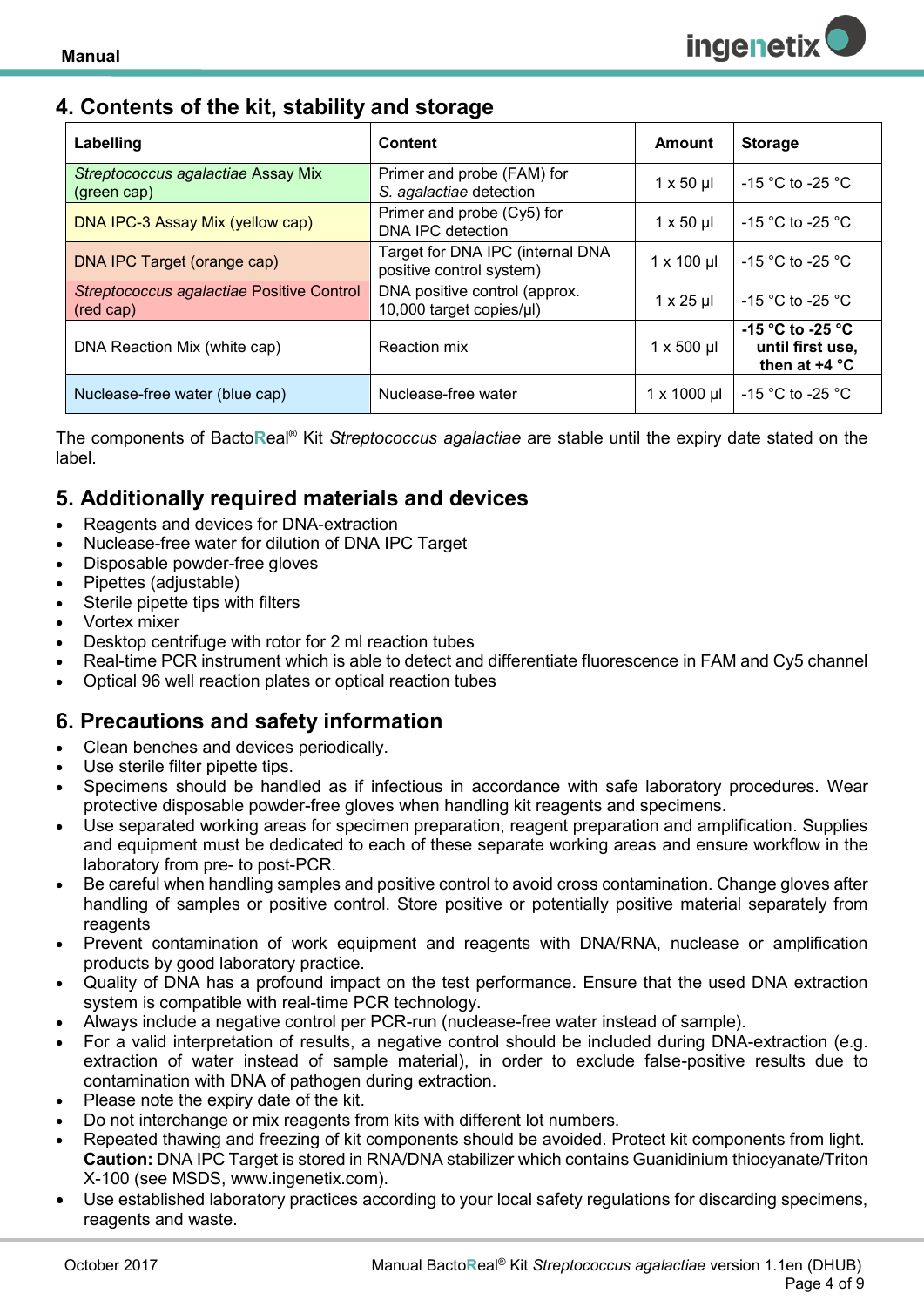## <span id="page-3-0"></span>**4. Contents of the kit, stability and storage**

| Labelling                                              | <b>Content</b>                                               | Amount              | <b>Storage</b>                                          |
|--------------------------------------------------------|--------------------------------------------------------------|---------------------|---------------------------------------------------------|
| Streptococcus agalactiae Assay Mix<br>(green cap)      | Primer and probe (FAM) for<br>S. agalactiae detection        | $1 \times 50 \mu$   | $-15$ °C to -25 °C                                      |
| DNA IPC-3 Assay Mix (yellow cap)                       | Primer and probe (Cy5) for<br>DNA IPC detection              | $1 \times 50 \mu$   | -15 $^{\circ}$ C to -25 $^{\circ}$ C                    |
| DNA IPC Target (orange cap)                            | Target for DNA IPC (internal DNA<br>positive control system) | $1 \times 100$ µl   | -15 °C to -25 °C                                        |
| Streptococcus agalactiae Positive Control<br>(red cap) | DNA positive control (approx.<br>10,000 target copies/µl)    | $1 \times 25$ µl    | -15 °C to -25 °C                                        |
| DNA Reaction Mix (white cap)                           | Reaction mix                                                 | $1 \times 500$ µl   | -15 °C to -25 °C<br>until first use,<br>then at $+4$ °C |
| Nuclease-free water (blue cap)                         | Nuclease-free water                                          | $1 \times 1000 \mu$ | -15 °C to -25 °C                                        |

The components of Bacto**R**eal® Kit *Streptococcus agalactiae* are stable until the expiry date stated on the label.

## <span id="page-3-1"></span>**5. Additionally required materials and devices**

- Reagents and devices for DNA-extraction
- Nuclease-free water for dilution of DNA IPC Target
- Disposable powder-free gloves
- Pipettes (adjustable)
- Sterile pipette tips with filters
- Vortex mixer
- Desktop centrifuge with rotor for 2 ml reaction tubes
- Real-time PCR instrument which is able to detect and differentiate fluorescence in FAM and Cy5 channel
- Optical 96 well reaction plates or optical reaction tubes

## <span id="page-3-2"></span>**6. Precautions and safety information**

- Clean benches and devices periodically.
- Use sterile filter pipette tips.
- Specimens should be handled as if infectious in accordance with safe laboratory procedures. Wear protective disposable powder-free gloves when handling kit reagents and specimens.
- Use separated working areas for specimen preparation, reagent preparation and amplification. Supplies and equipment must be dedicated to each of these separate working areas and ensure workflow in the laboratory from pre- to post-PCR.
- Be careful when handling samples and positive control to avoid cross contamination. Change gloves after handling of samples or positive control. Store positive or potentially positive material separately from reagents
- Prevent contamination of work equipment and reagents with DNA/RNA, nuclease or amplification products by good laboratory practice.
- Quality of DNA has a profound impact on the test performance. Ensure that the used DNA extraction system is compatible with real-time PCR technology.
- Always include a negative control per PCR-run (nuclease-free water instead of sample).
- For a valid interpretation of results, a negative control should be included during DNA-extraction (e.g. extraction of water instead of sample material), in order to exclude false-positive results due to contamination with DNA of pathogen during extraction.
- Please note the expiry date of the kit.
- Do not interchange or mix reagents from kits with different lot numbers.
- Repeated thawing and freezing of kit components should be avoided. Protect kit components from light. **Caution:** DNA IPC Target is stored in RNA/DNA stabilizer which contains Guanidinium thiocyanate/Triton X-100 (see MSDS, www.ingenetix.com).
- Use established laboratory practices according to your local safety regulations for discarding specimens, reagents and waste.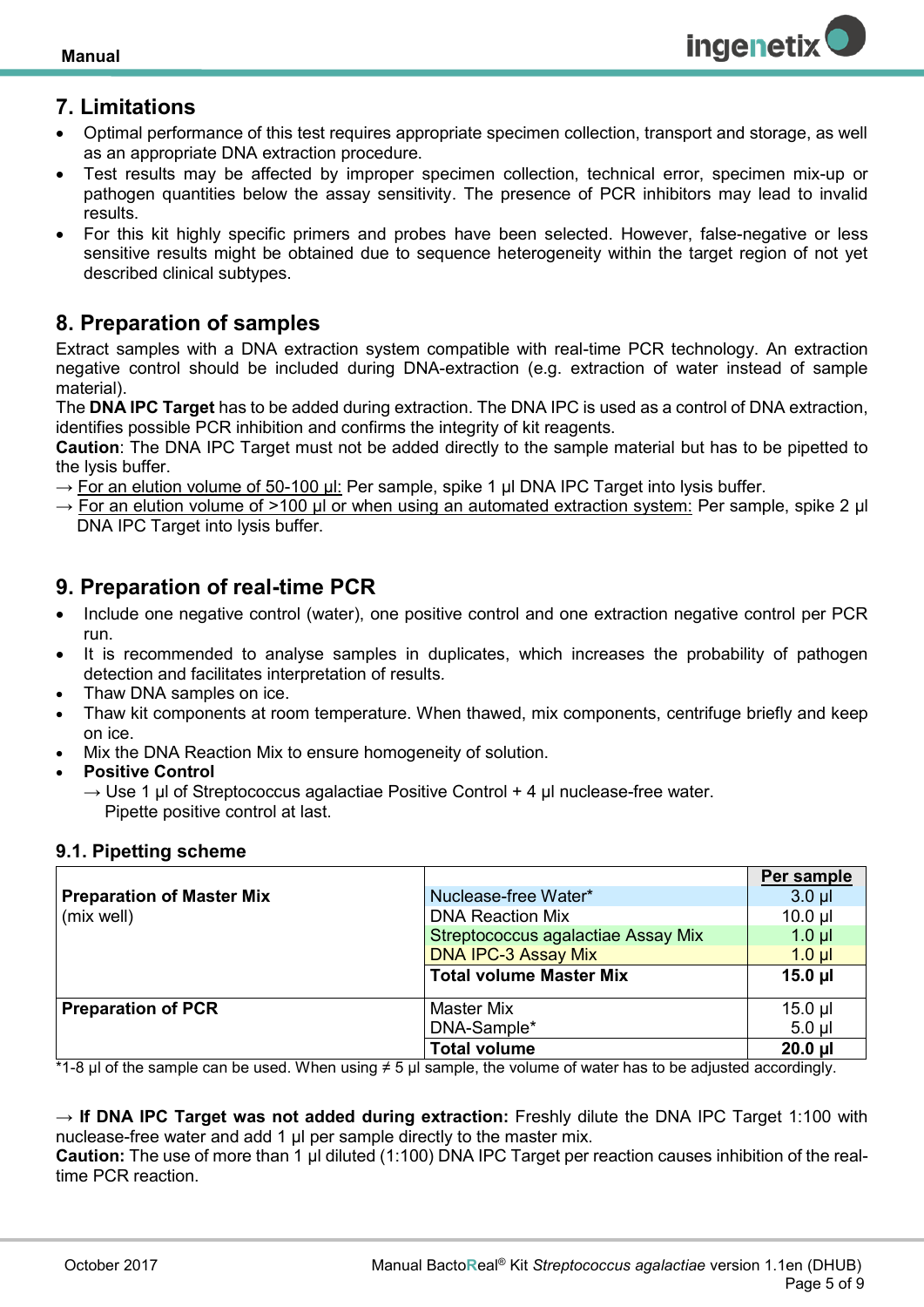

## <span id="page-4-0"></span>**7. Limitations**

- Optimal performance of this test requires appropriate specimen collection, transport and storage, as well as an appropriate DNA extraction procedure.
- Test results may be affected by improper specimen collection, technical error, specimen mix-up or pathogen quantities below the assay sensitivity. The presence of PCR inhibitors may lead to invalid results.
- For this kit highly specific primers and probes have been selected. However, false-negative or less sensitive results might be obtained due to sequence heterogeneity within the target region of not yet described clinical subtypes.

## <span id="page-4-1"></span>**8. Preparation of samples**

Extract samples with a DNA extraction system compatible with real-time PCR technology. An extraction negative control should be included during DNA-extraction (e.g. extraction of water instead of sample material).

The **DNA IPC Target** has to be added during extraction. The DNA IPC is used as a control of DNA extraction, identifies possible PCR inhibition and confirms the integrity of kit reagents.

**Caution**: The DNA IPC Target must not be added directly to the sample material but has to be pipetted to the lysis buffer.

- $\rightarrow$  For an elution volume of 50-100 µl: Per sample, spike 1 µl DNA IPC Target into lysis buffer.
- $\rightarrow$  For an elution volume of >100 µl or when using an automated extraction system: Per sample, spike 2 µl DNA IPC Target into lysis buffer.

## <span id="page-4-2"></span>**9. Preparation of real-time PCR**

- Include one negative control (water), one positive control and one extraction negative control per PCR run.
- It is recommended to analyse samples in duplicates, which increases the probability of pathogen detection and facilitates interpretation of results*.*
- Thaw DNA samples on ice.
- Thaw kit components at room temperature. When thawed, mix components, centrifuge briefly and keep on ice.
- Mix the DNA Reaction Mix to ensure homogeneity of solution.
- **Positive Control**
	- $\rightarrow$  Use 1 µl of Streptococcus agalactiae Positive Control + 4 µl nuclease-free water. Pipette positive control at last.

#### <span id="page-4-3"></span>**9.1. Pipetting scheme**

|                                  |                                    | Per sample   |
|----------------------------------|------------------------------------|--------------|
| <b>Preparation of Master Mix</b> | Nuclease-free Water*               | $3.0$ $\mu$  |
| (mix well)                       | <b>DNA Reaction Mix</b>            |              |
|                                  | Streptococcus agalactiae Assay Mix | $1.0$ µl     |
|                                  | <b>DNA IPC-3 Assay Mix</b>         | $1.0$ $\mu$  |
|                                  | <b>Total volume Master Mix</b>     | $15.0$ µl    |
| <b>Preparation of PCR</b>        | <b>Master Mix</b>                  | $15.0$ µl    |
|                                  | DNA-Sample*                        | $5.0$ $\mu$  |
|                                  | <b>Total volume</b>                | $20.0$ $\mu$ |

\*1-8 µl of the sample can be used. When using ≠ 5 µl sample, the volume of water has to be adjusted accordingly.

→ **If DNA IPC Target was not added during extraction:** Freshly dilute the DNA IPC Target 1:100 with nuclease-free water and add 1 µl per sample directly to the master mix.

**Caution:** The use of more than 1 µl diluted (1:100) DNA IPC Target per reaction causes inhibition of the realtime PCR reaction.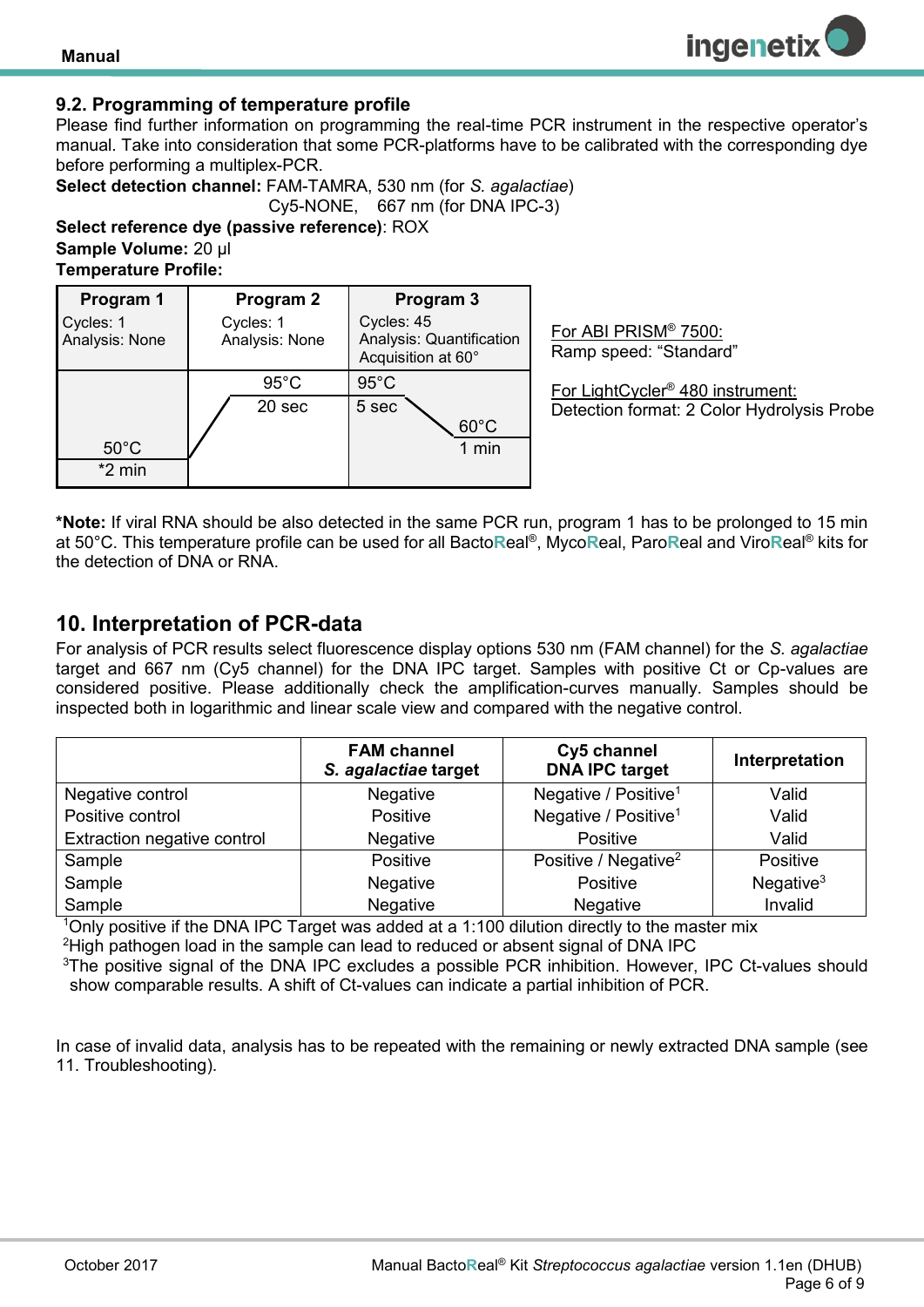#### <span id="page-5-0"></span>**9.2. Programming of temperature profile**

Please find further information on programming the real-time PCR instrument in the respective operator's manual. Take into consideration that some PCR-platforms have to be calibrated with the corresponding dye before performing a multiplex-PCR.

**Select detection channel:** FAM-TAMRA, 530 nm (for *S. agalactiae*) Cy5-NONE, 667 nm (for DNA IPC-3)

**Select reference dye (passive reference)**: ROX **Sample Volume:** 20 µl **Temperature Profile:** 

| Program 1                   | Program 2                   | Program 3                                                    |
|-----------------------------|-----------------------------|--------------------------------------------------------------|
| Cycles: 1<br>Analysis: None | Cycles: 1<br>Analysis: None | Cycles: 45<br>Analysis: Quantification<br>Acquisition at 60° |
|                             | $95^{\circ}$ C              | $95^{\circ}$ C                                               |
|                             | 20 sec                      | 5 sec                                                        |
|                             |                             | $60^{\circ}$ C                                               |
| $50^{\circ}$ C              |                             | 1 min                                                        |
| $*2$ min                    |                             |                                                              |

For ABI PRISM® 7500: Ramp speed: "Standard"

For LightCycler® 480 instrument: Detection format: 2 Color Hydrolysis Probe

**ingenetix** 

**\*Note:** If viral RNA should be also detected in the same PCR run, program 1 has to be prolonged to 15 min at 50°C. This temperature profile can be used for all Bacto**R**eal® , Myco**R**eal, Paro**R**eal and Viro**R**eal® kits for the detection of DNA or RNA.

### <span id="page-5-1"></span>**10. Interpretation of PCR-data**

For analysis of PCR results select fluorescence display options 530 nm (FAM channel) for the *S. agalactiae* target and 667 nm (Cy5 channel) for the DNA IPC target. Samples with positive Ct or Cp-values are considered positive. Please additionally check the amplification-curves manually. Samples should be inspected both in logarithmic and linear scale view and compared with the negative control.

|                             | <b>FAM channel</b><br>S. agalactiae target | Cy5 channel<br><b>DNA IPC target</b> | Interpretation |
|-----------------------------|--------------------------------------------|--------------------------------------|----------------|
| Negative control            | <b>Negative</b>                            | Negative / Positive <sup>1</sup>     | Valid          |
| Positive control            | Positive                                   | Negative / Positive <sup>1</sup>     | Valid          |
| Extraction negative control | Negative                                   | Positive                             | Valid          |
| Sample                      | Positive                                   | Positive / Negative <sup>2</sup>     | Positive       |
| Sample                      | Negative                                   | Positive                             | Negative $3$   |
| Sample                      | Negative                                   | <b>Negative</b>                      | Invalid        |

<sup>1</sup>Only positive if the DNA IPC Target was added at a 1:100 dilution directly to the master mix <sup>2</sup>High pathogen load in the sample can lead to reduced or absent signal of DNA IPC

<sup>3</sup>The positive signal of the DNA IPC excludes a possible PCR inhibition. However, IPC Ct-values should show comparable results. A shift of Ct-values can indicate a partial inhibition of PCR.

In case of invalid data, analysis has to be repeated with the remaining or newly extracted DNA sample (see 11. Troubleshooting).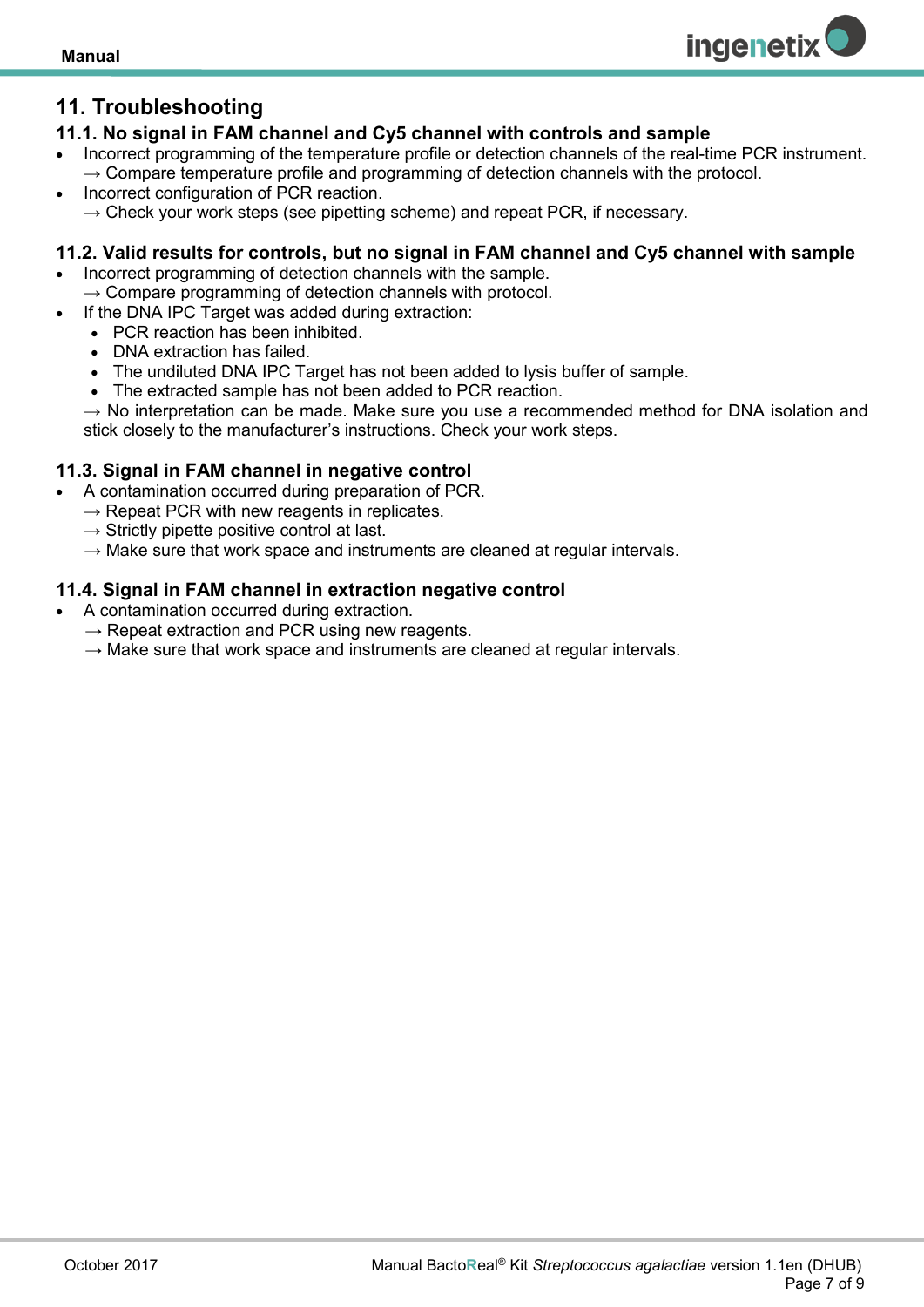## <span id="page-6-0"></span>**11. Troubleshooting**

#### <span id="page-6-1"></span>**11.1. No signal in FAM channel and Cy5 channel with controls and sample**

 Incorrect programming of the temperature profile or detection channels of the real-time PCR instrument.  $\rightarrow$  Compare temperature profile and programming of detection channels with the protocol.

**ingenetix** 

 Incorrect configuration of PCR reaction.  $\rightarrow$  Check your work steps (see pipetting scheme) and repeat PCR, if necessary.

#### <span id="page-6-2"></span>**11.2. Valid results for controls, but no signal in FAM channel and Cy5 channel with sample**

- Incorrect programming of detection channels with the sample.  $\rightarrow$  Compare programming of detection channels with protocol.
- If the DNA IPC Target was added during extraction:
	- PCR reaction has been inhibited.
	- DNA extraction has failed.
	- The undiluted DNA IPC Target has not been added to lysis buffer of sample.
	- The extracted sample has not been added to PCR reaction.

 $\rightarrow$  No interpretation can be made. Make sure you use a recommended method for DNA isolation and stick closely to the manufacturer's instructions. Check your work steps.

#### <span id="page-6-3"></span>**11.3. Signal in FAM channel in negative control**

- A contamination occurred during preparation of PCR.
	- $\rightarrow$  Repeat PCR with new reagents in replicates.
	- $\rightarrow$  Strictly pipette positive control at last.
	- $\rightarrow$  Make sure that work space and instruments are cleaned at regular intervals.

#### <span id="page-6-4"></span>**11.4. Signal in FAM channel in extraction negative control**

- A contamination occurred during extraction.
	- $\rightarrow$  Repeat extraction and PCR using new reagents.
	- $\rightarrow$  Make sure that work space and instruments are cleaned at regular intervals.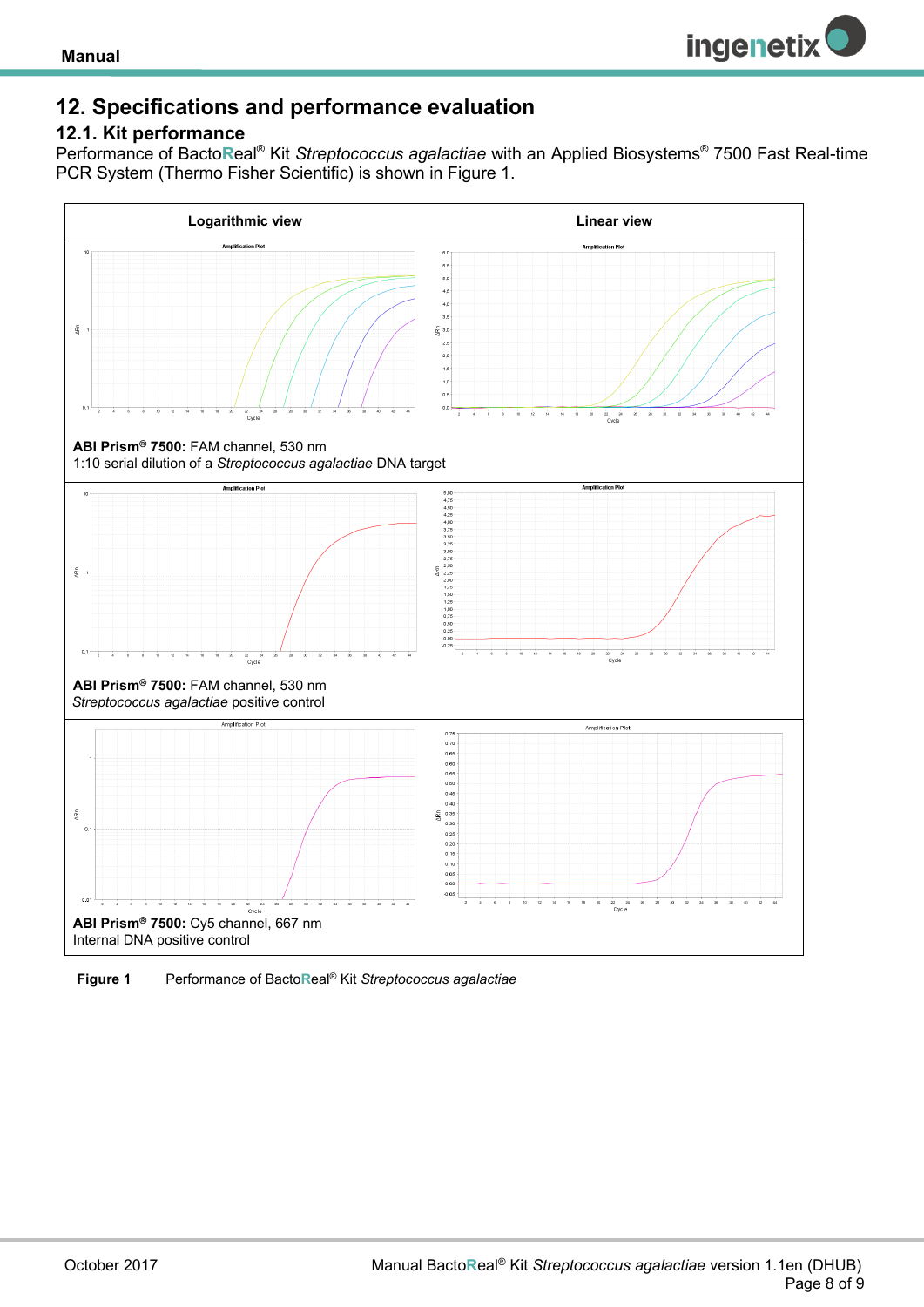

## <span id="page-7-0"></span>**12. Specifications and performance evaluation**

#### <span id="page-7-1"></span>**12.1. Kit performance**

Performance of Bacto**R**eal® Kit *Streptococcus agalactiae* with an Applied Biosystems® 7500 Fast Real-time PCR System (Thermo Fisher Scientific) is shown in Figure 1.



<span id="page-7-2"></span>**Figure 1** Performance of Bacto**R**eal® Kit *Streptococcus agalactiae*